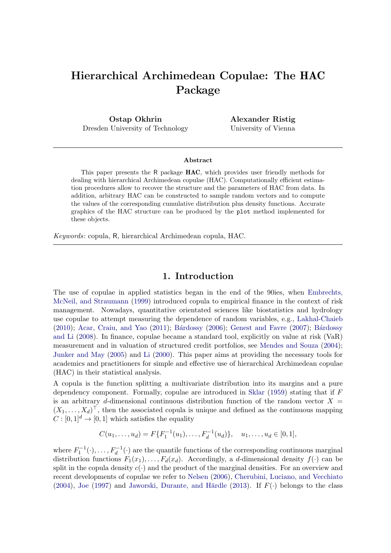# Hierarchical Archimedean Copulae: The HAC Package

Ostap Okhrin Dresden University of Technology Alexander Ristig University of Vienna

#### Abstract

This paper presents the R package HAC, which provides user friendly methods for dealing with hierarchical Archimedean copulae (HAC). Computationally efficient estimation procedures allow to recover the structure and the parameters of HAC from data. In addition, arbitrary HAC can be constructed to sample random vectors and to compute the values of the corresponding cumulative distribution plus density functions. Accurate graphics of the HAC structure can be produced by the plot method implemented for these objects.

Keywords: copula, R, hierarchical Archimedean copula, HAC.

### 1. Introduction

The use of copulae in applied statistics began in the end of the 90ies, when [Embrechts,](#page-19-0) [McNeil, and Straumann](#page-19-0) [\(1999\)](#page-19-0) introduced copula to empirical finance in the context of risk management. Nowadays, quantitative orientated sciences like biostatistics and hydrology use copulae to attempt measuring the dependence of random variables, e.g., [Lakhal-Chaieb](#page-20-0)  $(2010)$ ; [Acar, Craiu, and Yao](#page-19-1)  $(2011)$ ; Bárdossy  $(2006)$ ; [Genest and Favre](#page-20-1)  $(2007)$ ; Bárdossy [and Li](#page-19-3) [\(2008\)](#page-19-3). In finance, copulae became a standard tool, explicitly on value at risk (VaR) measurement and in valuation of structured credit portfolios, see [Mendes and Souza](#page-21-0) [\(2004\)](#page-21-0); [Junker and May](#page-20-2) [\(2005\)](#page-20-2) and [Li](#page-20-3) [\(2000\)](#page-20-3). This paper aims at providing the necessary tools for academics and practitioners for simple and effective use of hierarchical Archimedean copulae (HAC) in their statistical analysis.

A copula is the function splitting a multivariate distribution into its margins and a pure dependency component. Formally, copulae are introduced in [Sklar](#page-21-1)  $(1959)$  stating that if F is an arbitrary d-dimensional continuous distribution function of the random vector  $X =$  $(X_1, \ldots, X_d)^\top$ , then the associated copula is unique and defined as the continuous mapping  $C : [0, 1]^d \rightarrow [0, 1]$  which satisfies the equality

$$
C(u_1,\ldots,u_d)=F\{F_1^{-1}(u_1),\ldots,F_d^{-1}(u_d)\},\quad u_1,\ldots,u_d\in[0,1],
$$

where  $F_1^{-1}(\cdot), \ldots, F_d^{-1}(\cdot)$  are the quantile functions of the corresponding continuous marginal distribution functions  $F_1(x_1), \ldots, F_d(x_d)$ . Accordingly, a d-dimensional density  $f(\cdot)$  can be split in the copula density  $c(\cdot)$  and the product of the marginal densities. For an overview and recent developments of copulae we refer to [Nelsen](#page-21-2) [\(2006\)](#page-21-2), [Cherubini, Luciano, and Vecchiato](#page-19-4) [\(2004\)](#page-19-4), [Joe](#page-20-4) [\(1997\)](#page-20-4) and Jaworski, Durante, and Härdle [\(2013\)](#page-20-5). If  $F(\cdot)$  belongs to the class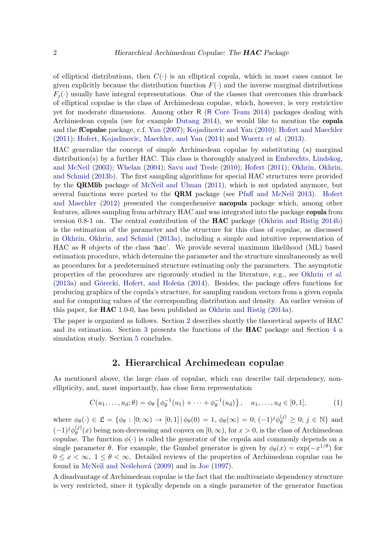of elliptical distributions, then  $C(\cdot)$  is an elliptical copula, which in most cases cannot be given explicitly because the distribution function  $F(\cdot)$  and the inverse marginal distributions  $F_i(\cdot)$  usually have integral representations. One of the classes that overcomes this drawback of elliptical copulae is the class of Archimedean copulae, which, however, is very restrictive yet for moderate dimensions. Among other R (R [Core Team](#page-21-3) [2014\)](#page-21-3) packages dealing with Archimedean copula (see for example [Dutang](#page-19-5) [2014\)](#page-19-5), we would like to mention the copula and the fCopulae package, c.f. [Yan](#page-22-0) [\(2007\)](#page-22-0); [Kojadinovic and Yan](#page-20-6) [\(2010\)](#page-20-6); [Hofert and Maechler](#page-20-7) [\(2011\)](#page-20-7); [Hofert, Kojadinovic, Maechler, and Yan](#page-20-8) [\(2014\)](#page-20-8) and [Wuertz](#page-21-4) et al. [\(2013\)](#page-21-4).

HAC generalize the concept of simple Archimedean copulae by substituting (a) marginal distribution(s) by a further HAC. This class is thoroughly analyzed in [Embrechts, Lindskog,](#page-19-6) [and McNeil](#page-19-6) [\(2003\)](#page-19-6); [Whelan](#page-21-5) [\(2004\)](#page-21-5); [Savu and Trede](#page-21-6) [\(2010\)](#page-21-6); [Hofert](#page-20-9) [\(2011\)](#page-20-9); [Okhrin, Okhrin,](#page-21-7) [and Schmid](#page-21-7) [\(2013b\)](#page-21-7). The first sampling algorithms for special HAC structures were provided by the QRMlib package of [McNeil and Ulman](#page-21-8) [\(2011\)](#page-21-8), which is not updated anymore, but several functions were ported to the **QRM** package (see [Pfaff and McNeil](#page-21-9) [2013\)](#page-21-9). [Hofert](#page-20-10) [and Maechler](#page-20-10) [\(2012\)](#page-20-10) presented the comprehensive nacopula package which, among other features, allows sampling from arbitrary HAC and was integrated into the package copula from version 0.8-1 on. The central contribution of the HAC package [\(Okhrin and Ristig](#page-21-10) [2014b\)](#page-21-10) is the estimation of the parameter and the structure for this class of copulae, as discussed in [Okhrin, Okhrin, and Schmid](#page-21-11) [\(2013a\)](#page-21-11), including a simple and intuitive representation of HAC as R objects of the class 'hac'. We provide several maximum likelihood (ML) based estimation procedure, which determine the parameter and the structure simultaneously as well as procedures for a predetermined structure estimating only the parameters. The asymptotic properties of the procedures are rigorously studied in the literature, e.g., see [Okhrin](#page-21-11) et al.  $(2013a)$  and Górecki, Hofert, and Holeña  $(2014)$ . Besides, the package offers functions for producing graphics of the copula's structure, for sampling random vectors from a given copula and for computing values of the corresponding distribution and density. An earlier version of this paper, for HAC 1.0-0, has been published as [Okhrin and Ristig](#page-21-12) [\(2014a\)](#page-21-12).

The paper is organized as follows. Section [2](#page-1-0) describes shortly the theoretical aspects of HAC and its estimation. Section [3](#page-5-0) presents the functions of the HAC package and Section [4](#page-14-0) a simulation study. Section [5](#page-19-7) concludes.

### 2. Hierarchical Archimedean copulae

<span id="page-1-0"></span>As mentioned above, the large class of copulae, which can describe tail dependency, nonellipticity, and, most importantly, has close form representation

$$
C(u_1, \ldots, u_d; \theta) = \phi_{\theta} \left\{ \phi_{\theta}^{-1}(u_1) + \cdots + \phi_{\theta}^{-1}(u_d) \right\}, \quad u_1, \ldots, u_d \in [0, 1], \tag{1}
$$

where  $\phi_{\theta}(\cdot) \in \mathfrak{L} = \{ \phi_{\theta} : [0; \infty) \to [0, 1] | \phi_{\theta}(0) = 1, \phi_{\theta}(\infty) = 0; (-1)^{j} \phi_{\theta}^{(j)} \geq 0; j \in \mathbb{N} \}$  and  $(-1)^{j}\phi_{\theta}^{(j)}$  $\theta^{(J)}(\alpha)$  being non-decreasing and convex on  $[0,\infty)$ , for  $x > 0$ , is the class of Archimedean copulae. The function  $\phi(\cdot)$  is called the generator of the copula and commonly depends on a single parameter  $\theta$ . For example, the Gumbel generator is given by  $\phi_{\theta}(x) = \exp(-x^{1/\theta})$  for  $0 \leq x \leq \infty$ ,  $1 \leq \theta \leq \infty$ . Detailed reviews of the properties of Archimedean copulae can be found in McNeil and Nešlehová [\(2009\)](#page-21-13) and in [Joe](#page-20-4) [\(1997\)](#page-20-4).

A disadvantage of Archimedean copulae is the fact that the multivariate dependency structure is very restricted, since it typically depends on a single parameter of the generator function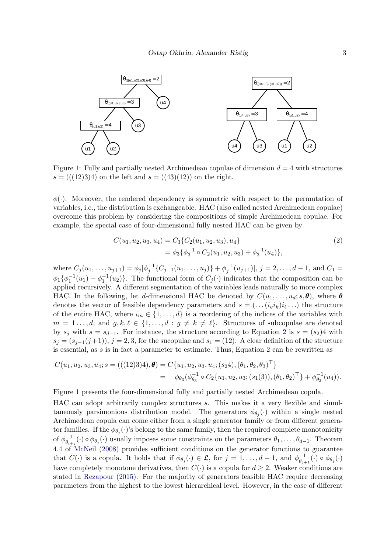

<span id="page-2-1"></span>Figure 1: Fully and partially nested Archimedean copulae of dimension  $d = 4$  with structures  $s = (((12)3)4)$  on the left and  $s = ((43)(12))$  on the right.

 $\phi(\cdot)$ . Moreover, the rendered dependency is symmetric with respect to the permutation of variables, i.e., the distribution is exchangeable. HAC (also called nested Archimedean copulae) overcome this problem by considering the compositions of simple Archimedean copulae. For example, the special case of four-dimensional fully nested HAC can be given by

<span id="page-2-0"></span>
$$
C(u_1, u_2, u_3, u_4) = C_3 \{ C_2(u_1, u_2, u_3), u_4 \}
$$
  
=  $\phi_3 \{ \phi_3^{-1} \circ C_2(u_1, u_2, u_3) + \phi_3^{-1}(u_4) \},$  (2)

where  $C_j(u_1,\ldots,u_{j+1}) = \phi_j[\phi_j^{-1}\{C_{j-1}(u_1,\ldots,u_j)\} + \phi_j^{-1}(u_{j+1})], j = 2,\ldots,d-1$ , and  $C_1 =$  $\phi_1\{\phi_1^{-1}(u_1)+\phi_1^{-1}(u_2)\}\.$  The functional form of  $C_j(\cdot)$  indicates that the composition can be applied recursively. A different segmentation of the variables leads naturally to more complex HAC. In the following, let d-dimensional HAC be denoted by  $C(u_1, \ldots, u_d; s, \theta)$ , where  $\theta$ denotes the vector of feasible dependency parameters and  $s = ( \ldots (i_g i_k) i_\ell \ldots )$  the structure of the entire HAC, where  $i_m \in \{1, \ldots, d\}$  is a reordering of the indices of the variables with  $m = 1 \ldots, d$ , and  $g, k, \ell \in \{1, \ldots, d : g \neq k \neq \ell\}$ . Structures of subcopulae are denoted by  $s_j$  with  $s = s_{d-1}$ . For instance, the structure according to Equation [2](#page-2-0) is  $s = (s_2)4$  with  $s_j = (s_{j-1}(j+1)), j = 2, 3$ , for the sucopulae and  $s_1 = (12)$ . A clear definition of the structure is essential, as s is in fact a parameter to estimate. Thus, Equation [2](#page-2-0) can be rewritten as

$$
C(u_1, u_2, u_3, u_4; s = (((12)3)4), \boldsymbol{\theta}) = C\{u_1, u_2, u_3, u_4; (s_2 4), (\theta_1, \theta_2, \theta_3)^{\top}\}\
$$
  
=  $\phi_{\theta_3}(\phi_{\theta_3}^{-1} \circ C_2\{u_1, u_2, u_3; (s_1(3)), (\theta_1, \theta_2)^{\top}\} + \phi_{\theta_3}^{-1}(u_4)).$ 

Figure [1](#page-2-1) presents the four-dimensional fully and partially nested Archimedean copula.

HAC can adopt arbitrarily complex structures s. This makes it a very flexible and simultaneously parsimonious distribution model. The generators  $\phi_{\theta_j}(\cdot)$  within a single nested Archimedean copula can come either from a single generator family or from different generator families. If the  $\phi_{\theta_j}(\cdot)$ 's belong to the same family, then the required complete monotonicity of  $\phi_{\theta}^{-1}$  $\theta_{\theta_{i+j}}^{-1}(\cdot) \circ \phi_{\theta_j}(\cdot)$  usually imposes some constraints on the parameters  $\theta_1, \ldots, \theta_{d-1}$ . Theorem 4.4 of [McNeil](#page-20-12) [\(2008\)](#page-20-12) provides sufficient conditions on the generator functions to guarantee that  $C(\cdot)$  is a copula. It holds that if  $\phi_{\theta_j}(\cdot) \in \mathfrak{L}$ , for  $j = 1, \ldots, d-1$ , and  $\phi_{\theta_{j}}^{-1}$  $\overline{\theta}_{j+1}^{-1}(\cdot) \circ \phi_{\theta_j}(\cdot)$ have completely monotone derivatives, then  $C(\cdot)$  is a copula for  $d \geq 2$ . Weaker conditions are stated in [Rezapour](#page-21-14) [\(2015\)](#page-21-14). For the majority of generators feasible HAC require decreasing parameters from the highest to the lowest hierarchical level. However, in the case of different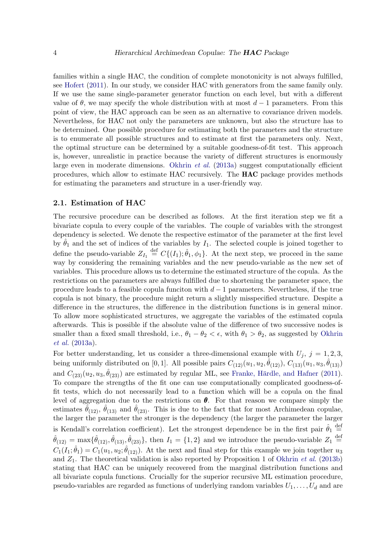families within a single HAC, the condition of complete monotonicity is not always fulfilled, see [Hofert](#page-20-9) [\(2011\)](#page-20-9). In our study, we consider HAC with generators from the same family only. If we use the same single-parameter generator function on each level, but with a different value of  $\theta$ , we may specify the whole distribution with at most  $d-1$  parameters. From this point of view, the HAC approach can be seen as an alternative to covariance driven models. Nevertheless, for HAC not only the parameters are unknown, but also the structure has to be determined. One possible procedure for estimating both the parameters and the structure is to enumerate all possible structures and to estimate at first the parameters only. Next, the optimal structure can be determined by a suitable goodness-of-fit test. This approach is, however, unrealistic in practice because the variety of different structures is enormously large even in moderate dimensions. [Okhrin](#page-21-11) *et al.* [\(2013a\)](#page-21-11) suggest computationally efficient procedures, which allow to estimate HAC recursively. The HAC package provides methods for estimating the parameters and structure in a user-friendly way.

#### 2.1. Estimation of HAC

The recursive procedure can be described as follows. At the first iteration step we fit a bivariate copula to every couple of the variables. The couple of variables with the strongest dependency is selected. We denote the respective estimator of the parameter at the first level by  $\hat{\theta}_1$  and the set of indices of the variables by  $I_1$ . The selected couple is joined together to define the pseudo-variable  $Z_{I_1} \stackrel{\text{def}}{=} C\{(I_1), \hat{\theta}_1, \phi_1\}$ . At the next step, we proceed in the same way by considering the remaining variables and the new pseudo-variable as the new set of variables. This procedure allows us to determine the estimated structure of the copula. As the restrictions on the parameters are always fulfilled due to shortening the parameter space, the procedure leads to a feasible copula funciton with  $d-1$  parameters. Nevertheless, if the true copula is not binary, the procedure might return a slightly misspecified structure. Despite a difference in the structures, the difference in the distribution functions is in general minor. To allow more sophisticated structures, we aggregate the variables of the estimated copula afterwards. This is possible if the absolute value of the difference of two successive nodes is smaller than a fixed small threshold, i.e.,  $\theta_1 - \theta_2 < \epsilon$ , with  $\theta_1 > \theta_2$ , as suggested by [Okhrin](#page-21-11) [et al.](#page-21-11) [\(2013a\)](#page-21-11).

For better understanding, let us consider a three-dimensional example with  $U_j$ ,  $j = 1, 2, 3$ , being uniformly distributed on [0,1]. All possible pairs  $C_{(12)}(u_1, u_2, \hat{\theta}_{(12)})$ ,  $C_{(13)}(u_1, u_3, \hat{\theta}_{(13)})$ and  $C_{(23)}(u_2, u_3, \hat{\theta}_{(23)})$  are estimated by regular ML, see Franke, Härdle, and Hafner [\(2011\)](#page-20-13). To compare the strengths of the fit one can use computationally complicated goodness-offit tests, which do not necessarily lead to a function which will be a copula on the final level of aggregation due to the restrictions on  $\theta$ . For that reason we compare simply the estimates  $\hat{\hat{\theta}}_{(12)}$ ,  $\hat{\theta}_{(13)}$  and  $\hat{\theta}_{(23)}$ . This is due to the fact that for most Archimedean copulae, the larger the parameter the stronger is the dependency (the larger the parameter the larger is Kendall's correlation coefficient). Let the strongest dependence be in the first pair  $\hat{\theta}_1 \stackrel{\text{def}}{=}$  $\hat{\theta}_{(12)} = \max{\{\hat{\theta}_{(12)}, \hat{\theta}_{(13)}, \hat{\theta}_{(23)}\}}$ , then  $I_1 = \{1, 2\}$  and we introduce the pseudo-variable  $Z_1 \stackrel{\text{def}}{=}$  $C_1(I_1; \hat{\theta}_1) = C_1(u_1, u_2; \hat{\theta}_{(12)})$ . At the next and final step for this example we join together  $u_3$ and  $Z_1$ . The theoretical validation is also reported by Proposition 1 of [Okhrin](#page-21-7) *et al.* [\(2013b\)](#page-21-7) stating that HAC can be uniquely recovered from the marginal distribution functions and all bivariate copula functions. Crucially for the superior recursive ML estimation procedure, pseudo-variables are regarded as functions of underlying random variables  $U_1, \ldots, U_d$  and are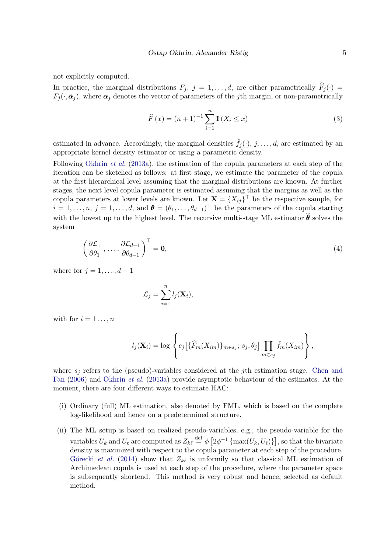not explicitly computed.

In practice, the marginal distributions  $F_j$ ,  $j = 1, ..., d$ , are either parametrically  $\widehat{F}_j(\cdot)$  =  $F_j(\cdot, \hat{\boldsymbol{\alpha}}_j)$ , where  $\boldsymbol{\alpha}_j$  denotes the vector of parameters of the jth margin, or non-parametrically

<span id="page-4-0"></span>
$$
\widehat{F}(x) = (n+1)^{-1} \sum_{i=1}^{n} \mathbf{I}(X_i \le x)
$$
\n(3)

estimated in advance. Accordingly, the marginal densities  $\hat{f}_i(\cdot), j, \ldots, d$ , are estimated by an appropriate kernel density estimator or using a parametric density.

Following [Okhrin](#page-21-11) et al. [\(2013a\)](#page-21-11), the estimation of the copula parameters at each step of the iteration can be sketched as follows: at first stage, we estimate the parameter of the copula at the first hierarchical level assuming that the marginal distributions are known. At further stages, the next level copula parameter is estimated assuming that the margins as well as the copula parameters at lower levels are known. Let  $\mathbf{X} = \{X_{ij}\}^{\top}$  be the respective sample, for  $i = 1, \ldots, n, j = 1, \ldots, d$ , and  $\boldsymbol{\theta} = (\theta_1, \ldots, \theta_{d-1})^\top$  be the parameters of the copula starting with the lowest up to the highest level. The recursive multi-stage ML estimator  $\hat{\boldsymbol{\theta}}$  solves the system

$$
\left(\frac{\partial \mathcal{L}_1}{\partial \theta_1}, \dots, \frac{\partial \mathcal{L}_{d-1}}{\partial \theta_{d-1}}\right)^\top = \mathbf{0},\tag{4}
$$

where for  $j = 1, \ldots, d - 1$ 

$$
\mathcal{L}_j = \sum_{i=1}^n l_j(\mathbf{X}_i),
$$

with for  $i = 1 \ldots, n$ 

$$
l_j(\mathbf{X}_i) = \log \left\{ c_j \left[ \{\widehat{F}_m(X_{im})\}_{m \in s_j}; s_j, \theta_j \right] \prod_{m \in s_j} \widehat{f}_m(X_{im}) \right\},\right\}
$$

where  $s_i$  refers to the (pseudo)-variables considered at the *j*th estimation stage. [Chen and](#page-19-8) [Fan](#page-19-8) [\(2006\)](#page-19-8) and [Okhrin](#page-21-11) et al. [\(2013a\)](#page-21-11) provide asymptotic behaviour of the estimates. At the moment, there are four different ways to estimate HAC:

- (i) Ordinary (full) ML estimation, also denoted by FML, which is based on the complete log-likelihood and hence on a predetermined structure.
- (ii) The ML setup is based on realized pseudo-variables, e.g., the pseudo-variable for the variables  $U_k$  and  $U_\ell$  are computed as  $Z_{k\ell} \stackrel{\text{def}}{=} \phi \left[ 2\phi^{-1} \left\{ \max(U_k, U_\ell) \right\} \right]$ , so that the bivariate density is maximized with respect to the copula parameter at each step of the procedure. Górecki et al. [\(2014\)](#page-20-11) show that  $Z_{k\ell}$  is unformily so that classical ML estimation of Archimedean copula is used at each step of the procedure, where the parameter space is subsequently shortend. This method is very robust and hence, selected as default method.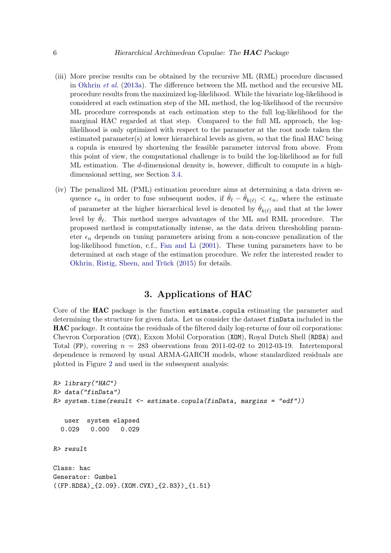- (iii) More precise results can be obtained by the recursive ML (RML) procedure discussed in [Okhrin](#page-21-11) et al. [\(2013a\)](#page-21-11). The difference between the ML method and the recursive ML procedure results from the maximized log-likelihood. While the bivariate log-likelihood is considered at each estimation step of the ML method, the log-likelihood of the recursive ML procedure corresponds at each estimation step to the full log-likelihood for the marginal HAC regarded at that step. Compared to the full ML approach, the loglikelihood is only optimized with respect to the parameter at the root node taken the estimated parameter(s) at lower hierarchical levels as given, so that the final HAC being a copula is ensured by shortening the feasible parameter interval from above. From this point of view, the computational challenge is to build the log-likelihood as for full ML estimation. The d-dimensional density is, however, difficult to compute in a highdimensional setting, see Section [3.4.](#page-12-0)
- (iv) The penalized ML (PML) estimation procedure aims at determining a data driven sequence  $\epsilon_n$  in order to fuse subsequent nodes, if  $\hat{\theta}_\ell - \hat{\theta}_{k(\ell)} < \epsilon_n$ , where the estimate of parameter at the higher hierarchical level is denoted by  $\hat{\theta}_{k(\ell)}$  and that at the lower level by  $\hat{\theta}_{\ell}$ . This method merges advantages of the ML and RML procedure. The proposed method is computationally intense, as the data driven thresholding parameter  $\epsilon_n$  depends on tuning parameters arising from a non-concave penalization of the log-likelihood function, c.f., [Fan and Li](#page-20-14) [\(2001\)](#page-20-14). These tuning parameters have to be determined at each stage of the estimation procedure. We refer the interested reader to Okhrin, Ristig, Sheen, and Trück  $(2015)$  for details.

# 3. Applications of HAC

<span id="page-5-0"></span>Core of the **HAC** package is the function estimate.copula estimating the parameter and determining the structure for given data. Let us consider the dataset finData included in the HAC package. It contains the residuals of the filtered daily log-returns of four oil corporations: Chevron Corporation (CVX), Exxon Mobil Corporation (XOM), Royal Dutch Shell (RDSA) and Total (FP), covering  $n = 283$  observations from 2011-02-02 to 2012-03-19. Intertemporal dependence is removed by usual ARMA-GARCH models, whose standardized residuals are plotted in Figure [2](#page-6-0) and used in the subsequent analysis:

```
R> library("HAC")
R> data("finData")
R> system.time(result <- estimate.copula(finData, margins = "edf"))
   user system elapsed
 0.029 0.000 0.029
R> result
Class: hac
Generator: Gumbel
((FP.RDSA)_{2.09}.(XOM.CVX)_{2.83})_{1.51}
```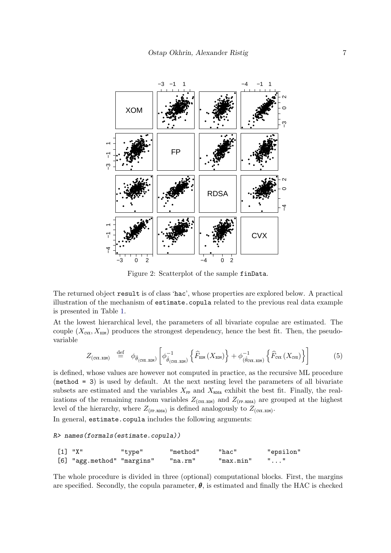

<span id="page-6-0"></span>Figure 2: Scatterplot of the sample finData.

The returned object result is of class 'hac', whose properties are explored below. A practical illustration of the mechanism of estimate.copula related to the previous real data example is presented in Table 1.

At the lowest hierarchical level, the parameters of all bivariate copulae are estimated. The couple  $(X_{\text{cvx}}, X_{\text{xon}})$  produces the strongest dependency, hence the best fit. Then, the pseudovariable

$$
Z_{\text{(cvx.xom)}} \stackrel{\text{def}}{=} \phi_{\hat{\theta}_{\text{(cvx.xom)}}} \left[ \phi_{\hat{\theta}_{\text{(cvx.xom)}}}^{-1} \left\{ \widehat{F}_{\text{xom}} \left( X_{\text{xom}} \right) \right\} + \phi_{(\hat{\theta}_{\text{cvx.xom}})}^{-1} \left\{ \widehat{F}_{\text{cvx}} \left( X_{\text{cvx}} \right) \right\} \right] \tag{5}
$$

is defined, whose values are however not computed in practice, as the recursive ML procedure  $(method = 3)$  is used by default. At the next nesting level the parameters of all bivariate subsets are estimated and the variables  $X_{\text{FP}}$  and  $X_{\text{RDSA}}$  exhibit the best fit. Finally, the realizations of the remaining random variables  $Z_{\text{(cvx.xom)}}$  and  $Z_{\text{(FP.RDSA)}}$  are grouped at the highest level of the hierarchy, where  $Z_{(FP,RDSA)}$  is defined analogously to  $Z_{(cvx,xom)}$ .

In general, estimate.copula includes the following arguments:

#### R> names(formals(estimate.copula))

| [1] "X" |                            | "type" | "method" | "hac"     | "epsilon" |
|---------|----------------------------|--------|----------|-----------|-----------|
|         | [6] "agg.method" "margins" |        | "na.rm"  | "max.min" |           |

The whole procedure is divided in three (optional) computational blocks. First, the margins are specified. Secondly, the copula parameter,  $\theta$ , is estimated and finally the HAC is checked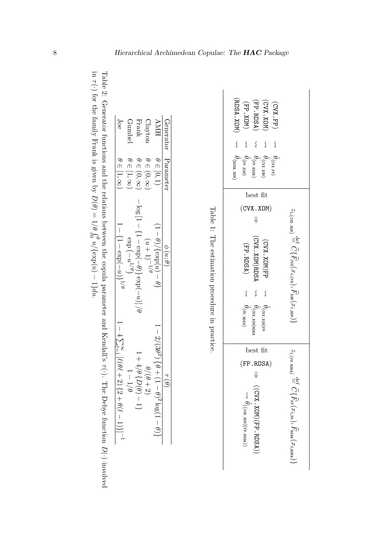| Joe                                                            | Gumbel           | ${\rm Frank}$                                                                                 | Clayton                          | <b>HNA</b>                                               | Generator                    | (MOX 'YOK)<br>(CUX. XOM)<br>FP.RDSA)<br>$(FP \cdot XON)$<br>(CVX.FP)                                                                                                                            |
|----------------------------------------------------------------|------------------|-----------------------------------------------------------------------------------------------|----------------------------------|----------------------------------------------------------|------------------------------|-------------------------------------------------------------------------------------------------------------------------------------------------------------------------------------------------|
|                                                                |                  |                                                                                               |                                  |                                                          |                              | $\left\{ \right.$<br>$\, \zeta \,$<br>$\left\{ \right.$<br>$\left\{ \right.$<br>$\overleftrightarrow{\mathbf{C}}$                                                                               |
| $\theta \in [1, \infty)$                                       | $\in [1,\infty)$ | $\theta \in (0, \infty)$                                                                      | $\theta \in (0, \infty)$         | $\theta \in [0,1)$                                       | Parameter                    | $\theta_{\rm (RDSA.\,XON)}$<br>$\begin{aligned} \theta_{\text{(cwx,zons)}} \\ \hat{\theta}_{\text{(FP-RDS)}} \\ \hat{\theta}_{\text{(FP.XDN)}} \end{aligned}$<br>$\vec{\theta}_{\rm (CVA. FP)}$ |
|                                                                |                  |                                                                                               |                                  |                                                          |                              | best fit                                                                                                                                                                                        |
|                                                                |                  | $-\log\left[1-\left\{1-\exp\left(-\theta^1\right)^2\right\}\exp\left(-u\right)\right]/\theta$ |                                  |                                                          |                              | (CVX.XOM)<br>⇓                                                                                                                                                                                  |
| $\frac{1}{1-\{1-\exp(-u)\}}^{1/\theta}$                        |                  |                                                                                               | $\int_{1}^{1} (u+1)^{-1/\theta}$ | $(1-\theta)/\{\exp(u)-\theta\}$                          | $\frac{\phi(u;\theta)}{2}$   | $z_{i, \text{(cvx xom)}} \stackrel{\text{def}}{=} \widehat{C}\{\widehat{F}_{\text{C}tx}(x_{i, \text{cvx}}), \widehat{F}_{\text{xon}}(x_{i, \text{xow}})\}$                                      |
|                                                                |                  |                                                                                               |                                  |                                                          |                              | (CVX. XOM)RDSA<br>(CVX.XOM)FP<br>$(FP$ . RDSA)                                                                                                                                                  |
|                                                                |                  |                                                                                               |                                  |                                                          |                              | $\left\{ \right.$<br>$\left\{ \right.$<br>$\overleftrightarrow{\mathbf{C}}$                                                                                                                     |
| $-4\sum_{\ell=1}^{\infty} [\ell(\theta\ell)]$                  |                  |                                                                                               |                                  |                                                          |                              | Table 1: The estimation procedure in practice.<br>$\theta_{\text{(FP-RDSA)}}$<br>$\hat{\hat{\theta}}_{\text{(cvx.xON)FP}}$<br>$\hat{\hat{\theta}}_{\rm (cvx.xon) nps}$                          |
|                                                                |                  |                                                                                               |                                  |                                                          |                              | best fit                                                                                                                                                                                        |
|                                                                |                  | $1+4/\theta\left\{D(\theta)-1\right\}$                                                        |                                  | $-2/(3\theta^2)\{\theta + (1-\theta)^2\log(1-\theta)\}\$ |                              | $z_i$ <sub>(FP</sub> .RDSA)<br>(FP.RDSA)                                                                                                                                                        |
|                                                                | $-1/\theta$      |                                                                                               | $\theta/(\theta+2)$              |                                                          | $\frac{\tau}{\sqrt{\theta}}$ | ⇓                                                                                                                                                                                               |
|                                                                |                  |                                                                                               |                                  |                                                          |                              |                                                                                                                                                                                                 |
| $\frac{1}{2}$ + 2) {2 + $\theta$ ( $\ell$ - 1)}] <sup>-1</sup> |                  |                                                                                               |                                  |                                                          |                              |                                                                                                                                                                                                 |
|                                                                |                  |                                                                                               |                                  |                                                          |                              | $((CUX, XOM)(FP, RDSA)))$<br>$\begin{array}{c} \sim\rightarrow\; \theta\left((\textrm{cvx}.\textrm{xon})(\textrm{FP}.\textrm{rbsa})\right) \end{array}$                                         |
|                                                                |                  |                                                                                               |                                  |                                                          |                              | $\mathcal{E}^{\text{def}}\mathcal{O}\{ \widehat{F}_{\text{FP}}(x_{i,\text{FP}}),\widehat{F}_{\text{mSA}}(x_{i,\text{mSA}}) \}$                                                                  |
|                                                                |                  |                                                                                               |                                  |                                                          |                              |                                                                                                                                                                                                 |

<span id="page-7-1"></span><span id="page-7-0"></span>Table 2: Generator functions and the relations between the copula parameter and Kendall's τ (·). The Debye function D(·) involved in τ (·) for the family Frank is given by  $D(\theta) = 1$  $\widetilde{\theta}$  $\mathcal{L}$  $u/\text{exp}(u) - 1\}du.$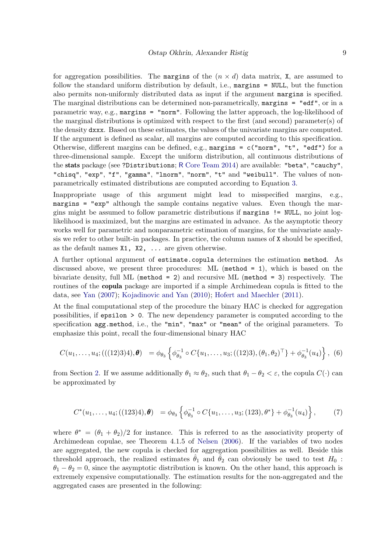for aggregation possibilities. The margins of the  $(n \times d)$  data matrix, X, are assumed to follow the standard uniform distribution by default, i.e., margins = NULL, but the function also permits non-uniformly distributed data as input if the argument margins is specified. The marginal distributions can be determined non-parametrically, margins = "edf", or in a parametric way, e.g., margins = "norm". Following the latter approach, the log-likelihood of the marginal distributions is optimized with respect to the first (and second) parameter(s) of the density dxxx. Based on these estimates, the values of the univariate margins are computed. If the argument is defined as scalar, all margins are computed according to this specification. Otherwise, different margins can be defined, e.g., margins =  $c("norm", "t", "edf")$  for a three-dimensional sample. Except the uniform distribution, all continuous distributions of the stats package (see ?Distributions; R [Core Team](#page-21-3) [2014\)](#page-21-3) are available: "beta", "cauchy", "chisq", "exp", "f", "gamma", "lnorm", "norm", "t" and "weibull". The values of nonparametrically estimated distributions are computed according to Equation [3.](#page-4-0)

Inappropriate usage of this argument might lead to misspecified margins, e.g., margins = "exp" although the sample contains negative values. Even though the margins might be assumed to follow parametric distributions if margins != NULL, no joint loglikelihood is maximized, but the margins are estimated in advance. As the asymptotic theory works well for parametric and nonparametric estimation of margins, for the univariate analysis we refer to other built-in packages. In practice, the column names of X should be specified, as the default names  $X1$ ,  $X2$ ,  $\ldots$  are given otherwise.

A further optional argument of estimate.copula determines the estimation method. As discussed above, we present three procedures: ML (method = 1), which is based on the bivariate density, full ML (method = 2) and recursive ML (method = 3) respectively. The routines of the copula package are imported if a simple Archimedean copula is fitted to the data, see [Yan](#page-22-0) [\(2007\)](#page-22-0); [Kojadinovic and Yan](#page-20-6) [\(2010\)](#page-20-6); [Hofert and Maechler](#page-20-7) [\(2011\)](#page-20-7).

At the final computational step of the procedure the binary HAC is checked for aggregation possibilities, if epsilon > 0. The new dependency parameter is computed according to the specification agg.method, i.e., the "min", "max" or "mean" of the original parameters. To emphasize this point, recall the four-dimensional binary HAC

$$
C(u_1,\ldots,u_4;(((12)3)4),\boldsymbol{\theta}) = \phi_{\theta_3}\left\{\phi_{\theta_3}^{-1} \circ C\{u_1,\ldots,u_3;((12)3),(\theta_1,\theta_2)^\top\} + \phi_{\theta_3}^{-1}(u_4)\right\},
$$
 (6)

from Section [2.](#page-1-0) If we assume additionally  $\theta_1 \approx \theta_2$ , such that  $\theta_1 - \theta_2 < \varepsilon$ , the copula  $C(\cdot)$  can be approximated by

$$
C^*(u_1,\ldots,u_4;((123)4),\boldsymbol{\theta}) = \phi_{\theta_3}\left\{\phi_{\theta_3}^{-1} \circ C\{u_1,\ldots,u_3;(123),\theta^*\} + \phi_{\theta_3}^{-1}(u_4)\right\},\tag{7}
$$

where  $\theta^* = (\theta_1 + \theta_2)/2$  for instance. This is referred to as the associativity property of Archimedean copulae, see Theorem 4.1.5 of [Nelsen](#page-21-2) [\(2006\)](#page-21-2). If the variables of two nodes are aggregated, the new copula is checked for aggregation possibilities as well. Beside this threshold approach, the realized estimates  $\hat{\theta}_1$  and  $\hat{\theta}_2$  can obviously be used to test  $H_0$ :  $\theta_1 - \theta_2 = 0$ , since the asymptotic distribution is known. On the other hand, this approach is extremely expensive computationally. The estimation results for the non-aggregated and the aggregated cases are presented in the following: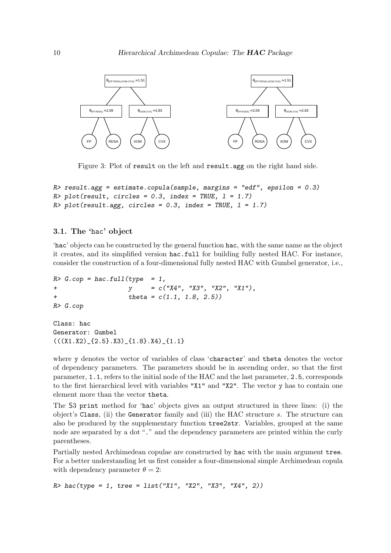

Figure 3: Plot of result on the left and result.agg on the right hand side.

```
R> result.agg = estimate.copula(sample, margins = "edf", epsilon = 0.3)
R> plot(result, circles = 0.3, index = TRUE, 1 = 1.7)
R> plot(result.agg, circles = 0.3, index = TRUE, 1 = 1.7)
```
#### 3.1. The 'hac' object

'hac' objects can be constructed by the general function hac, with the same name as the object it creates, and its simplified version hac.full for building fully nested HAC. For instance, consider the construction of a four-dimensional fully nested HAC with Gumbel generator, i.e.,

```
R > G.\,cop = \text{hac.full}(type = 1,+ y = c("X4", "X3", "X2", "X1"),+ theta = c(1.1, 1.8, 2.5)R> G.cop
```
Class: hac Generator: Gumbel  $((X1.X2)_{1.5}.X3)_{1.1}.X4)_{1.1}.$ 

where y denotes the vector of variables of class 'character' and theta denotes the vector of dependency parameters. The parameters should be in ascending order, so that the first parameter, 1.1, refers to the initial node of the HAC and the last parameter, 2.5, corresponds to the first hierarchical level with variables "X1" and "X2". The vector y has to contain one element more than the vector theta.

The S3 print method for 'hac' objects gives an output structured in three lines: (i) the object's Class, (ii) the Generator family and (iii) the HAC structure s. The structure can also be produced by the supplementary function tree2str. Variables, grouped at the same node are separated by a dot "." and the dependency parameters are printed within the curly parentheses.

Partially nested Archimedean copulae are constructed by hac with the main argument tree. For a better understanding let us first consider a four-dimensional simple Archimedean copula with dependency parameter  $\theta = 2$ :

 $R$  hac(type = 1, tree = list("X1", "X2", "X3", "X4", 2))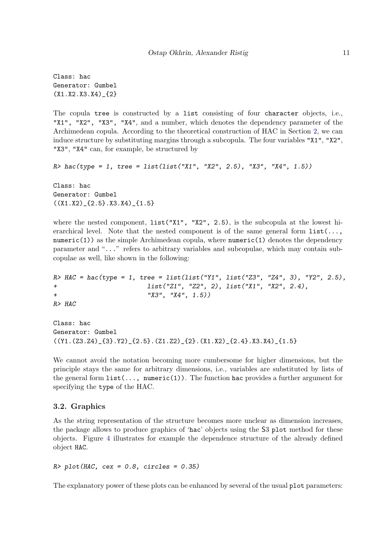Class: hac Generator: Gumbel (X1.X2.X3.X4)\_{2}

The copula tree is constructed by a list consisting of four character objects, i.e., "X1", "X2", "X3", "X4", and a number, which denotes the dependency parameter of the Archimedean copula. According to the theoretical construction of HAC in Section [2,](#page-1-0) we can induce structure by substituting margins through a subcopula. The four variables "X1", "X2", "X3", "X4" can, for example, be structured by

```
R> hac(type = 1, tree = list(list("X1", "X2", 2.5), "X3", "X4", 1.5))
```
Class: hac Generator: Gumbel  $((X1.X2)_{12}3.X3.X4)_{11}$ 

where the nested component,  $list("X1", "X2", 2.5)$ , is the subcopula at the lowest hierarchical level. Note that the nested component is of the same general form  $list(...,$ numeric(1)) as the simple Archimedean copula, where numeric(1) denotes the dependency parameter and "..." refers to arbitrary variables and subcopulae, which may contain subcopulae as well, like shown in the following:

```
R> HAC = hac(type = 1, tree = list(list("Y1", list("Z3", "Z4", 3), "Y2", 2.5),
+ list("Z1", "Z2", 2), list("X1", "X2", 2.4),
+ "X3", "X4", 1.5))
R> HAC
```
Class: hac Generator: Gumbel  $((Y1.(Z3.Z4)_{8}.'Y2)_{8}.(Z1.5) \cdot (Z1.22)_{8}.(X1.X2)_{8} (Z1.4) \cdot X3.X4)_{8} (1.5)$ 

We cannot avoid the notation becoming more cumbersome for higher dimensions, but the principle stays the same for arbitrary dimensions, i.e., variables are substituted by lists of the general form  $list(...,$  numeric(1)). The function hac provides a further argument for specifying the type of the HAC.

#### 3.2. Graphics

As the string representation of the structure becomes more unclear as dimension increases, the package allows to produce graphics of 'hac' objects using the S3 plot method for these objects. Figure [4](#page-11-0) illustrates for example the dependence structure of the already defined object HAC.

```
R> plot(HAC, cex = 0.8, circles = 0.35)
```
The explanatory power of these plots can be enhanced by several of the usual plot parameters: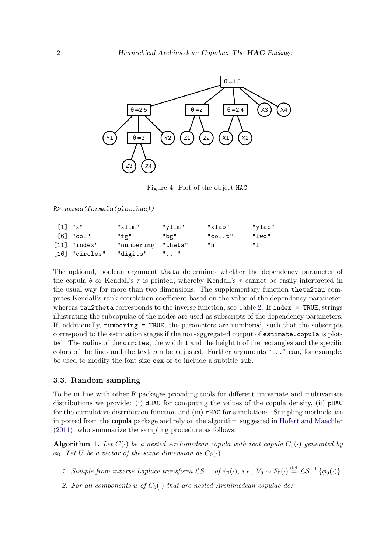

<span id="page-11-0"></span>Figure 4: Plot of the object HAC.

R> names(formals(plot.hac))

| $\lceil 1 \rceil$ "x"   | "xlim"              | "vlim" | "xlab"  | "ylab" |
|-------------------------|---------------------|--------|---------|--------|
| $\lceil 6 \rceil$ "col" | "fg"                | "bg"   | "col.t" | "lwd"  |
| $[11]$ "index"          | "numbering" "theta" |        | "h"     | որ ո   |
| [16] "circles"          | "digits" ""         |        |         |        |

The optional, boolean argument theta determines whether the dependency parameter of the copula  $\theta$  or Kendall's  $\tau$  is printed, whereby Kendall's  $\tau$  cannot be easily interpreted in the usual way for more than two dimensions. The supplementary function theta2tau computes Kendall's rank correlation coefficient based on the value of the dependency parameter, whereas  $tau$  corresponds to the inverse function, see Table [2.](#page-7-1) If index = TRUE, strings illustrating the subcopulae of the nodes are used as subscripts of the dependency parameters. If, additionally, numbering = TRUE, the parameters are numbered, such that the subscripts correspond to the estimation stages if the non-aggregated output of estimate.copula is plotted. The radius of the circles, the width l and the height h of the rectangles and the specific colors of the lines and the text can be adjusted. Further arguments "..." can, for example, be used to modify the font size cex or to include a subtitle sub.

#### 3.3. Random sampling

To be in line with other R packages providing tools for different univariate and multivariate distributions we provide: (i) dHAC for computing the values of the copula density, (ii) pHAC for the cumulative distribution function and (iii) rHAC for simulations. Sampling methods are imported from the copula package and rely on the algorithm suggested in [Hofert and Maechler](#page-20-7) [\(2011\)](#page-20-7), who summarize the sampling procedure as follows:

<span id="page-11-1"></span>**Algorithm 1.** Let  $C(\cdot)$  be a nested Archimedean copula with root copula  $C_0(\cdot)$  generated by  $\phi_0$ . Let U be a vector of the same dimension as  $C_0(\cdot)$ .

- 1. Sample from inverse Laplace transform  $\mathcal{L}S^{-1}$  of  $\phi_0(\cdot)$ , i.e.,  $V_0 \sim F_0(\cdot) \stackrel{\text{def}}{=} \mathcal{L}S^{-1} \{\phi_0(\cdot)\}.$
- 2. For all components u of  $C_0(\cdot)$  that are nested Archimedean copulae do: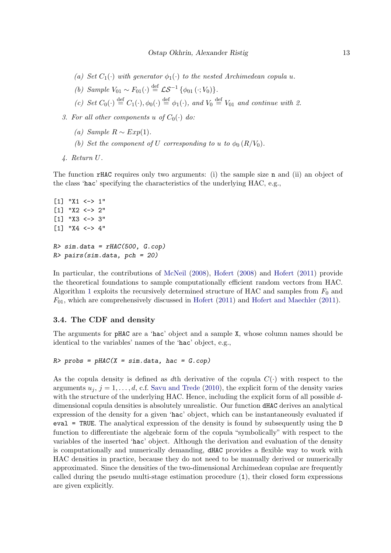- (a) Set  $C_1(\cdot)$  with generator  $\phi_1(\cdot)$  to the nested Archimedean copula u.
- (b) Sample  $V_{01} \sim F_{01}(\cdot) \stackrel{\text{def}}{=} \mathcal{LS}^{-1} \{ \phi_{01} (\cdot; V_0) \}.$
- (c) Set  $C_0(\cdot) \stackrel{\text{def}}{=} C_1(\cdot), \phi_0(\cdot) \stackrel{\text{def}}{=} \phi_1(\cdot)$ , and  $V_0 \stackrel{\text{def}}{=} V_{01}$  and continue with 2.
- 3. For all other components u of  $C_0(\cdot)$  do:
	- (a) Sample  $R \sim Exp(1)$ .
	- (b) Set the component of U corresponding to u to  $\phi_0 (R/V_0)$ .
- 4. Return U.

The function rHAC requires only two arguments: (i) the sample size n and (ii) an object of the class 'hac' specifying the characteristics of the underlying HAC, e.g.,

```
[1] "X1 <-> 1"
[1] "X2 <-> 2"
[1] "X3 <-> 3"
[1] "X4 <-> 4"
R > \text{sim.data} = \text{rHAC}(500, G.\text{cop})R> pairs(sim.data, pch = 20)
```
In particular, the contributions of [McNeil](#page-20-12) [\(2008\)](#page-20-12), [Hofert](#page-20-15) [\(2008\)](#page-20-15) and [Hofert](#page-20-9) [\(2011\)](#page-20-9) provide the theoretical foundations to sample computationally efficient random vectors from HAC. Algorithm [1](#page-11-1) exploits the recursively determined structure of HAC and samples from  $F_0$  and  $F_{01}$ , which are comprehensively discussed in [Hofert](#page-20-9) [\(2011\)](#page-20-7) and [Hofert and Maechler](#page-20-7) (2011).

#### <span id="page-12-0"></span>3.4. The CDF and density

The arguments for pHAC are a 'hac' object and a sample X, whose column names should be identical to the variables' names of the 'hac' object, e.g.,

```
R> probs = pHAC(X = sim.data, hac = G.cop)
```
As the copula density is defined as dth derivative of the copula  $C(\cdot)$  with respect to the arguments  $u_j$ ,  $j = 1, \ldots, d$ , c.f. [Savu and Trede](#page-21-6) [\(2010\)](#page-21-6), the explicit form of the density varies with the structure of the underlying HAC. Hence, including the explicit form of all possible ddimensional copula densities is absolutely unrealistic. Our function dHAC derives an analytical expression of the density for a given 'hac' object, which can be instantaneously evaluated if eval = TRUE. The analytical expression of the density is found by subsequently using the D function to differentiate the algebraic form of the copula "symbolically" with respect to the variables of the inserted 'hac' object. Although the derivation and evaluation of the density is computationally and numerically demanding, dHAC provides a flexible way to work with HAC densities in practice, because they do not need to be manually derived or numerically approximated. Since the densities of the two-dimensional Archimedean copulae are frequently called during the pseudo multi-stage estimation procedure (1), their closed form expressions are given explicitly.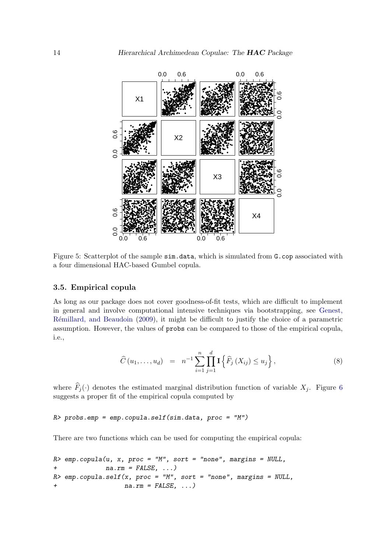

Figure 5: Scatterplot of the sample sim. data, which is simulated from G.cop associated with a four dimensional HAC-based Gumbel copula.

### 3.5. Empirical copula

As long as our package does not cover goodness-of-fit tests, which are difficult to implement in general and involve computational intensive techniques via bootstrapping, see Genest, Rémillard, and Beaudoin (2009), it might be difficult to justify the choice of a parametric assumption. However, the values of probs can be compared to those of the empirical copula, i.e.,

$$
\widehat{C}(u_1, ..., u_d) = n^{-1} \sum_{i=1}^n \prod_{j=1}^d \mathbf{I} \left\{ \widehat{F}_j \left( X_{ij} \right) \le u_j \right\},\tag{8}
$$

where  $\widehat{F}_j(\cdot)$  denotes the estimated marginal distribution function of variable  $X_j$ . Figure 6 suggests a proper fit of the empirical copula computed by

 $R$ > probs.emp = emp.copula.self(sim.data, proc = "M")

There are two functions which can be used for computing the empirical copula:

```
emp.copula(u, x, proc = "M", sort = "none", margins = NULL,R>na.rm = FALSE, ...)R> emp.copula.self(x, proc = "M", sort = "none", margins = NULL,
                   na.rm = FALSE, ...)\overline{1}
```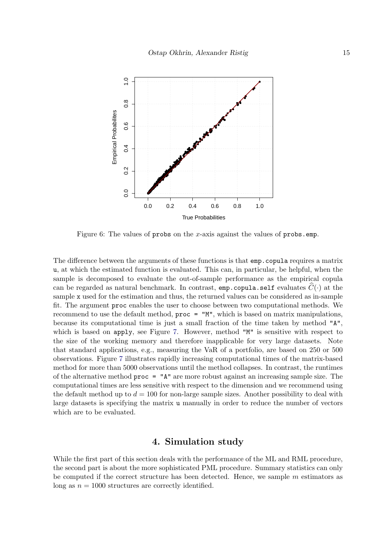

<span id="page-14-1"></span>Figure 6: The values of probs on the x-axis against the values of probs.emp.

The difference between the arguments of these functions is that emp.copula requires a matrix u, at which the estimated function is evaluated. This can, in particular, be helpful, when the sample is decomposed to evaluate the out-of-sample performance as the empirical copula can be regarded as natural benchmark. In contrast, emp.copula.self evaluates  $\hat{C}(\cdot)$  at the sample x used for the estimation and thus, the returned values can be considered as in-sample fit. The argument proc enables the user to choose between two computational methods. We recommend to use the default method, proc = "M", which is based on matrix manipulations, because its computational time is just a small fraction of the time taken by method "A", which is based on apply, see Figure [7.](#page-15-0) However, method "M" is sensitive with respect to the size of the working memory and therefore inapplicable for very large datasets. Note that standard applications, e.g., measuring the VaR of a portfolio, are based on 250 or 500 observations. Figure [7](#page-15-0) illustrates rapidly increasing computational times of the matrix-based method for more than 5000 observations until the method collapses. In contrast, the runtimes of the alternative method proc = "A" are more robust against an increasing sample size. The computational times are less sensitive with respect to the dimension and we recommend using the default method up to  $d = 100$  for non-large sample sizes. Another possibility to deal with large datasets is specifying the matrix u manually in order to reduce the number of vectors which are to be evaluated.

## 4. Simulation study

<span id="page-14-0"></span>While the first part of this section deals with the performance of the ML and RML procedure, the second part is about the more sophisticated PML procedure. Summary statistics can only be computed if the correct structure has been detected. Hence, we sample  $m$  estimators as long as  $n = 1000$  structures are correctly identified.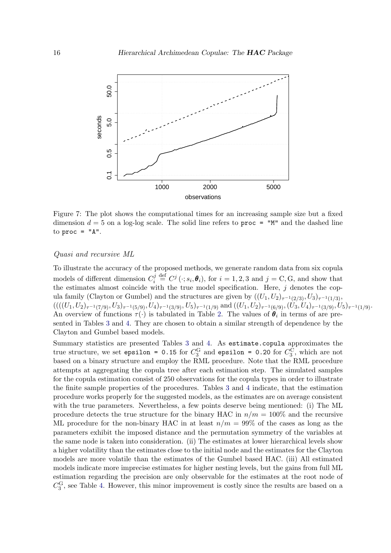

<span id="page-15-0"></span>Figure 7: The plot shows the computational times for an increasing sample size but a fixed dimension  $d = 5$  on a log-log scale. The solid line refers to proc = "M" and the dashed line to  $proc = "A".$ 

#### Quasi and recursive ML

To illustrate the accuracy of the proposed methods, we generate random data from six copula models of different dimension  $C_i^j$  $d_i^j \stackrel{\text{def}}{=} C^j (\cdot; s_i, \theta_i)$ , for  $i = 1, 2, 3$  and  $j = C, G$ , and show that the estimates almost coincide with the true model specification. Here,  $j$  denotes the copula family (Clayton or Gumbel) and the structures are given by  $((U_1, U_2)_{\tau^{-1}(2/3)}, U_3)_{\tau^{-1}(1/3)},$  $(((((U_1,U_2)_{\tau^{-1}(7/9)},U_3)_{\tau^{-1}(5/9)},U_4)_{\tau^{-1}(3/9)},U_5)_{\tau^{-1}(1/9)}$  and  $((U_1,U_2)_{\tau^{-1}(6/9)},(U_3,U_4)_{\tau^{-1}(3/9)},U_5)_{\tau^{-1}(1/9)}$ . An overview of functions  $\tau(\cdot)$  is tabulated in Table [2.](#page-7-1) The values of  $\theta_i$  in terms of are presented in Tables [3](#page-16-0) and [4.](#page-16-1) They are chosen to obtain a similar strength of dependence by the Clayton and Gumbel based models.

Summary statistics are presented Tables [3](#page-16-0) and [4.](#page-16-1) As estimate.copula approximates the true structure, we set epsilon = 0.15 for  $C_3^G$  and epsilon = 0.20 for  $C_3^C$ , which are not based on a binary structure and employ the RML procedure. Note that the RML procedure attempts at aggregating the copula tree after each estimation step. The simulated samples for the copula estimation consist of 250 observations for the copula types in order to illustrate the finite sample properties of the procedures. Tables [3](#page-16-0) and [4](#page-16-1) indicate, that the estimation procedure works properly for the suggested models, as the estimates are on average consistent with the true parameters. Nevertheless, a few points deserve being mentioned: (i) The ML procedure detects the true structure for the binary HAC in  $n/m = 100\%$  and the recursive ML procedure for the non-binary HAC in at least  $n/m = 99\%$  of the cases as long as the parameters exhibit the imposed distance and the permutation symmetry of the variables at the same node is taken into consideration. (ii) The estimates at lower hierarchical levels show a higher volatility than the estimates close to the initial node and the estimates for the Clayton models are more volatile than the estimates of the Gumbel based HAC. (iii) All estimated models indicate more imprecise estimates for higher nesting levels, but the gains from full ML estimation regarding the precision are only observable for the estimates at the root node of  $C_3^{\text{G}}$ , see Table [4.](#page-16-1) However, this minor improvement is costly since the results are based on a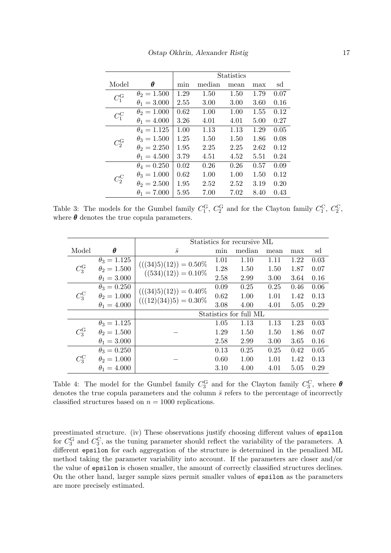|                 |                    |      | <b>Statistics</b> |      |      |      |  |  |
|-----------------|--------------------|------|-------------------|------|------|------|--|--|
| Model           | θ                  | min  | median            | mean | max  | sd   |  |  |
| $C_1^{\rm G}$   | $\theta_2 = 1.500$ | 1.29 | 1.50              | 1.50 | 1.79 | 0.07 |  |  |
|                 | $\theta_1 = 3.000$ | 2.55 | 3.00              | 3.00 | 3.60 | 0.16 |  |  |
| $C_1^{\rm C}$   | $\theta_2 = 1.000$ | 0.62 | 1.00              | 1.00 | 1.55 | 0.12 |  |  |
|                 | $\theta_1 = 4.000$ | 3.26 | 4.01              | 4.01 | 5.00 | 0.27 |  |  |
|                 | $\theta_4 = 1.125$ | 1.00 | 1.13              | 1.13 | 1.29 | 0.05 |  |  |
| $C_2^{\rm G}$   | $\theta_3 = 1.500$ | 1.25 | 1.50              | 1.50 | 1.86 | 0.08 |  |  |
|                 | $\theta_2 = 2.250$ | 1.95 | 2.25              | 2.25 | 2.62 | 0.12 |  |  |
|                 | $\theta_1 = 4.500$ | 3.79 | 4.51              | 4.52 | 5.51 | 0.24 |  |  |
|                 | $\theta_4 = 0.250$ | 0.02 | 0.26              | 0.26 | 0.57 | 0.09 |  |  |
| $C_{2}^{\rm C}$ | $\theta_3 = 1.000$ | 0.62 | 1.00              | 1.00 | 1.50 | 0.12 |  |  |
|                 | $\theta_2 = 2.500$ | 1.95 | 2.52              | 2.52 | 3.19 | 0.20 |  |  |
|                 | $\theta_1 = 7.000$ | 5.95 | 7.00              | 7.02 | 8.40 | 0.43 |  |  |

<span id="page-16-0"></span>Table 3: The models for the Gumbel family  $C_1^G$ ,  $C_2^G$  and for the Clayton family  $C_1^C$ ,  $C_2^C$ , where  $\theta$  denotes the true copula parameters.

|               |                    | Statistics for recursive ML |      |        |      |                                                                              |      |
|---------------|--------------------|-----------------------------|------|--------|------|------------------------------------------------------------------------------|------|
| Model         | $\theta$           | $\overline{s}$              | min  | median | mean | max                                                                          | sd   |
|               | $\theta_3 = 1.125$ | $(((34)5)(12)) = 0.50\%$    | 1.01 | 1.10   | 1.11 | 1.22                                                                         | 0.03 |
| $C_3^{\rm G}$ | $\theta_2 = 1.500$ | $((534)(12)) = 0.10\%$      | 1.28 | 1.50   | 1.50 | 1.87                                                                         | 0.07 |
|               | $\theta_1 = 3.000$ |                             | 2.58 | 2.99   | 3.00 | 3.64<br>0.46<br>1.42<br>5.05<br>1.23<br>1.86<br>3.65<br>0.42<br>1.42<br>5.05 | 0.16 |
|               | $\theta_3 = 0.250$ | $(((34)5)(12)) = 0.40\%$    | 0.09 | 0.25   | 0.25 |                                                                              | 0.06 |
| $C_3^{\rm C}$ | $\theta_2 = 1.000$ | $(((12)(34))5) = 0.30\%$    | 0.62 | 1.00   | 1.01 |                                                                              | 0.13 |
|               | $\theta_1 = 4.000$ |                             | 3.08 | 4.00   | 4.01 |                                                                              | 0.29 |
|               |                    | Statistics for full ML      |      |        |      |                                                                              |      |
|               | $\theta_3 = 1.125$ |                             | 1.05 | 1.13   | 1.13 |                                                                              | 0.03 |
| $C_3^{\rm G}$ | $\theta_2 = 1.500$ |                             | 1.29 | 1.50   | 1.50 |                                                                              | 0.07 |
|               | $\theta_1 = 3.000$ |                             | 2.58 | 2.99   | 3.00 |                                                                              | 0.16 |
|               | $\theta_3 = 0.250$ |                             | 0.13 | 0.25   | 0.25 |                                                                              | 0.05 |
| $C_3^{\rm C}$ | $\theta_2 = 1.000$ |                             | 0.60 | 1.00   | 1.01 |                                                                              | 0.13 |
|               | $\theta_1 = 4.000$ |                             | 3.10 | 4.00   | 4.01 |                                                                              | 0.29 |

<span id="page-16-1"></span>Table 4: The model for the Gumbel family  $C_3^G$  and for the Clayton family  $C_3^C$ , where  $\boldsymbol{\theta}$ denotes the true copula parameters and the column  $\bar{s}$  refers to the percentage of incorrectly classified structures based on  $n = 1000$  replications.

preestimated structure. (iv) These observations justify choosing different values of epsilon for  $C_3^G$  and  $C_3^C$ , as the tuning parameter should reflect the variability of the parameters. A different epsilon for each aggregation of the structure is determined in the penalized ML method taking the parameter variability into account. If the parameters are closer and/or the value of epsilon is chosen smaller, the amount of correctly classified structures declines. On the other hand, larger sample sizes permit smaller values of epsilon as the parameters are more precisely estimated.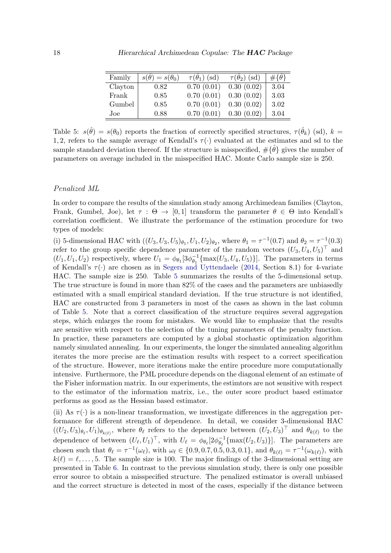| Family  | $s(\theta) = s(\theta_0)$ | $\tau(\theta_1)$ (sd) | $\tau(\theta_2)$ (sd) | $\#\{\theta\}$ |
|---------|---------------------------|-----------------------|-----------------------|----------------|
| Clayton | 0.82                      | 0.70(0.01)            | 0.30(0.02)            | 3.04           |
| Frank   | 0.85                      | 0.70(0.01)            | 0.30(0.02)            | 3.03           |
| Gumbel  | 0.85                      | 0.70(0.01)            | 0.30(0.02)            | 3.02           |
| Joe     | 0.88                      | 0.70(0.01)            | 0.30(0.02)            | 3.04           |

<span id="page-17-0"></span>Table 5:  $s(\hat{\theta}) = s(\theta_0)$  reports the fraction of correctly specified structures,  $\tau(\hat{\theta}_k)$  (sd),  $k =$ 1, 2, refers to the sample average of Kendall's  $\tau(\cdot)$  evaluated at the estimates and sd to the sample standard deviation thereof. If the structure is misspecified,  $\#\{\hat{\theta}\}\$  gives the number of parameters on average included in the misspecified HAC. Monte Carlo sample size is 250.

#### Penalized ML

In order to compare the results of the simulation study among Archimedean families (Clayton, Frank, Gumbel, Joe), let  $\tau : \Theta \to [0,1]$  transform the parameter  $\theta \in \Theta$  into Kendall's correlation coefficient. We illustrate the performance of the estimation procedure for two types of models:

(i) 5-dimensional HAC with  $((U_3, U_3, U_5)_{\theta_1}, U_1, U_2)_{\theta_2}$ , where  $\theta_1 = \tau^{-1}(0.7)$  and  $\theta_2 = \tau^{-1}(0.3)$ refer to the group specific dependence parameter of the random vectors  $(U_3, U_4, U_5)^\top$  and  $(U_1, U_1, U_2)$  respectively, where  $U_1 = \phi_{\theta_1} [3\phi_{\theta_1}^{-1}]$  $\theta_{\theta_1}^{-1}\{\max(U_3, U_4, U_5)\}\]$ . The parameters in terms of Kendall's  $\tau(\cdot)$  are chosen as in [Segers and Uyttendaele](#page-21-16) [\(2014,](#page-21-16) Section 8.1) for 4-variate HAC. The sample size is 250. Table [5](#page-17-0) summarizes the results of the 5-dimensional setup. The true structure is found in more than 82% of the cases and the parameters are unbiasedly estimated with a small empirical standard deviation. If the true structure is not identified, HAC are constructed from 3 parameters in most of the cases as shown in the last column of Table [5.](#page-17-0) Note that a correct classification of the structure requires several aggregation steps, which enlarges the room for mistakes. We would like to emphasize that the results are sensitive with respect to the selection of the tuning parameters of the penalty function. In practice, these parameters are computed by a global stochastic optimization algorithm namely simulated annealing. In our experiments, the longer the simulated annealing algorithm iterates the more precise are the estimation results with respect to a correct specification of the structure. However, more iterations make the entire procedure more computationally intensive. Furthermore, the PML procedure depends on the diagonal element of an estimate of the Fisher information matrix. In our experiments, the estimtors are not sensitive with respect to the estimator of the information matrix, i.e., the outer score product based estimator performs as good as the Hessian based estimator.

(ii) As  $\tau(\cdot)$  is a non-linear transformation, we investigate differences in the aggregation performance for different strength of dependence. In detail, we consider 3-dimensional HAC  $((U_2, U_3)_{\theta_\ell}, U_1)_{\theta_{k(\ell)}}$ , where  $\theta_\ell$  refers to the dependence between  $(U_2, U_3)^\top$  and  $\theta_{k(\ell)}$  to the dependence of between  $(U_{\ell}, U_1)^{\top}$ , with  $U_{\ell} = \phi_{\theta_{\ell}}[2\phi_{\theta_{\ell}}^{-1}]$  $\overline{\theta}_{\ell}^{-1} \{\max(U_2, U_3)\}$ . The parameters are chosen such that  $\theta_{\ell} = \tau^{-1}(\omega_{\ell})$ , with  $\omega_{\ell} \in \{0.9, 0.7, 0.5, 0.3, 0.1\}$ , and  $\theta_{k(\ell)} = \tau^{-1}(\omega_{k(\ell)})$ , with  $k(\ell) = \ell, \ldots, 5$ . The sample size is 100. The major findings of the 3-dimensional setting are presented in Table [6.](#page-18-0) In contrast to the previous simulation study, there is only one possible error source to obtain a misspecified structure. The penalized estimator is overall unbiased and the correct structure is detected in most of the cases, especially if the distance between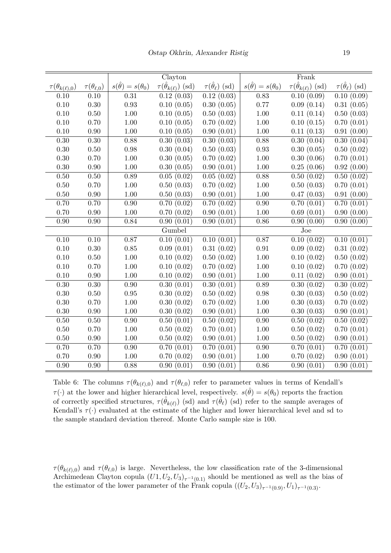|                            |                         |                               | Clayton                             |                                  |                               | Frank                               |                                  |
|----------------------------|-------------------------|-------------------------------|-------------------------------------|----------------------------------|-------------------------------|-------------------------------------|----------------------------------|
| $\tau(\theta_{k(\ell),0})$ | $\tau(\theta_{\ell,0})$ | $s(\hat{\theta})=s(\theta_0)$ | $\tau(\hat{\theta}_{k(\ell)})$ (sd) | $\tau(\hat{\theta}_{\ell})$ (sd) | $s(\hat{\theta})=s(\theta_0)$ | $\tau(\hat{\theta}_{k(\ell)})$ (sd) | $\tau(\hat{\theta}_{\ell})$ (sd) |
| 0.10                       | 0.10                    | 0.31                          | 0.12(0.03)                          | 0.12(0.03)                       | 0.83                          | $\overline{0.10(0.09)}$             | 0.10(0.09)                       |
| $0.10\,$                   | 0.30                    | 0.93                          | 0.10(0.05)                          | 0.30(0.05)                       | 0.77                          | 0.09(0.14)                          | 0.31(0.05)                       |
| 0.10                       | 0.50                    | $1.00\,$                      | 0.10(0.05)                          | 0.50(0.03)                       | $1.00\,$                      | 0.11(0.14)                          | 0.50(0.03)                       |
| 0.10                       | 0.70                    | $1.00\,$                      | 0.10(0.05)                          | 0.70(0.02)                       | $1.00\,$                      | 0.10(0.15)                          | 0.70(0.01)                       |
| 0.10                       | 0.90                    | $1.00\,$                      | 0.10(0.05)                          | 0.90(0.01)                       | $1.00\,$                      | 0.11(0.13)                          | 0.91(0.00)                       |
| $0.30\,$                   | 0.30                    | 0.88                          | 0.30(0.03)                          | 0.30(0.03)                       | $0.88\,$                      | 0.30(0.04)                          | $\overline{0.30}$ $(0.04)$       |
| $0.30\,$                   | $0.50\,$                | 0.98                          | 0.30(0.04)                          | 0.50(0.03)                       | $\rm 0.93$                    | 0.30(0.05)                          | 0.50(0.02)                       |
| $0.30\,$                   | 0.70                    | $1.00\,$                      | 0.30(0.05)                          | 0.70(0.02)                       | 1.00                          | 0.30(0.06)                          | 0.70(0.01)                       |
| 0.30                       | 0.90                    | $1.00\,$                      | 0.30(0.05)                          | 0.90(0.01)                       | 1.00                          | 0.25(0.06)                          | 0.92(0.00)                       |
| $0.50\,$                   | 0.50                    | 0.89                          | 0.05(0.02)                          | 0.05(0.02)                       | 0.88                          | 0.50(0.02)                          | 0.50(0.02)                       |
| $0.50\,$                   | 0.70                    | $1.00\,$                      | 0.50(0.03)                          | 0.70(0.02)                       | $1.00\,$                      | 0.50(0.03)                          | 0.70(0.01)                       |
| $0.50\,$                   | 0.90                    | $1.00\,$                      | 0.50(0.03)                          | 0.90(0.01)                       | $1.00\,$                      | 0.47(0.03)                          | 0.91(0.00)                       |
| 0.70                       | 0.70                    | 0.90                          | 0.70(0.02)                          | 0.70(0.02)                       | 0.90                          | 0.70(0.01)                          | 0.70(0.01)                       |
| 0.70                       | 0.90                    | 1.00                          | 0.70(0.02)                          | 0.90(0.01)                       | 1.00                          | 0.69(0.01)                          | 0.90(0.00)                       |
| 0.90                       | 0.90                    | 0.84                          | 0.90(0.01)                          | 0.90(0.01)                       | 0.86                          | 0.90(0.00)                          | 0.90(0.00)                       |
|                            |                         |                               | Gumbel                              |                                  |                               | Joe                                 |                                  |
| $0.10\,$                   | $\overline{0.10}$       | 0.87                          | 0.10(0.01)                          | 0.10(0.01)                       | 0.87                          | 0.10(0.02)                          | 0.10(0.01)                       |
| $0.10\,$                   | 0.30                    | 0.85                          | 0.09(0.01)                          | 0.31(0.02)                       | $\rm 0.91$                    | 0.09(0.02)                          | 0.31(0.02)                       |
| 0.10                       | 0.50                    | $1.00\,$                      | 0.10(0.02)                          | 0.50(0.02)                       | $1.00\,$                      | 0.10(0.02)                          | 0.50(0.02)                       |
| 0.10                       | 0.70                    | 1.00                          | 0.10(0.02)                          | 0.70(0.02)                       | $1.00\,$                      | 0.10(0.02)                          | 0.70(0.02)                       |
| 0.10                       | $0.90\,$                | 1.00                          | 0.10(0.02)                          | 0.90(0.01)                       | $1.00\,$                      | 0.11(0.02)                          | 0.90(0.01)                       |
| $0.30\,$                   | $\overline{0.30}$       | 0.90                          | 0.30(0.01)                          | 0.30(0.01)                       | 0.89                          | 0.30(0.02)                          | 0.30(0.02)                       |
| $0.30\,$                   | 0.50                    | 0.95                          | 0.30(0.02)                          | 0.50(0.02)                       | $0.98\,$                      | 0.30(0.03)                          | 0.50(0.02)                       |
| 0.30                       | 0.70                    | $1.00\,$                      | 0.30(0.02)                          | 0.70(0.02)                       | $1.00\,$                      | 0.30(0.03)                          | 0.70(0.02)                       |
| $0.30\,$                   | 0.90                    | $1.00\,$                      | 0.30(0.02)                          | 0.90(0.01)                       | 1.00                          | 0.30(0.03)                          | 0.90(0.01)                       |
| $0.50$                     | 0.50                    | $0.90\,$                      | 0.50(0.01)                          | 0.50(0.02)                       | 0.90                          | 0.50(0.02)                          | 0.50(0.02)                       |
| $0.50\,$                   | 0.70                    | $1.00\,$                      | 0.50(0.02)                          | 0.70(0.01)                       | $1.00\,$                      | 0.50(0.02)                          | 0.70(0.01)                       |
| $0.50\,$                   | 0.90                    | $1.00\,$                      | 0.50(0.02)                          | 0.90(0.01)                       | $1.00\,$                      | 0.50(0.02)                          | 0.90(0.01)                       |
| 0.70                       | 0.70                    | 0.90                          | 0.70(0.01)                          | 0.70(0.01)                       | 0.90                          | 0.70(0.01)                          | 0.70(0.01)                       |
| 0.70                       | 0.90                    | $1.00\,$                      | 0.70(0.02)                          | 0.90(0.01)                       | 1.00                          | 0.70(0.02)                          | 0.90(0.01)                       |
| 0.90                       | 0.90                    | 0.88                          | 0.90(0.01)                          | 0.90(0.01)                       | 0.86                          | 0.90(0.01)                          | 0.90(0.01)                       |

<span id="page-18-0"></span>Table 6: The columns  $\tau(\theta_{k(\ell),0})$  and  $\tau(\theta_{\ell,0})$  refer to parameter values in terms of Kendall's  $\tau(\cdot)$  at the lower and higher hierarchical level, respectively.  $s(\hat{\theta}) = s(\theta_0)$  reports the fraction of correctly specified structures,  $\tau(\hat{\theta}_{k(\ell)})$  (sd) and  $\tau(\hat{\theta}_{\ell})$  (sd) refer to the sample averages of Kendall's  $\tau(\cdot)$  evaluated at the estimate of the higher and lower hierarchical level and sd to the sample standard deviation thereof. Monte Carlo sample size is 100.

 $\tau(\theta_{k(\ell),0})$  and  $\tau(\theta_{\ell,0})$  is large. Nevertheless, the low classification rate of the 3-dimensional Archimedean Clayton copula  $(U1, U_2, U_3)_{\tau^{-1}(0,1)}$  should be mentioned as well as the bias of the estimator of the lower parameter of the Frank copula  $((U_2, U_3)_{\tau^{-1}(0.9)}, U_1)_{\tau^{-1}(0.3)}$ .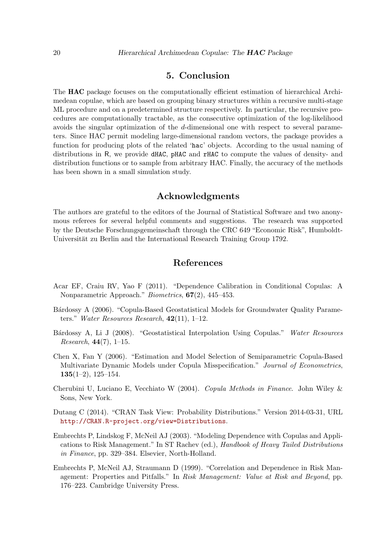# 5. Conclusion

<span id="page-19-7"></span>The HAC package focuses on the computationally efficient estimation of hierarchical Archimedean copulae, which are based on grouping binary structures within a recursive multi-stage ML procedure and on a predetermined structure respectively. In particular, the recursive procedures are computationally tractable, as the consecutive optimization of the log-likelihood avoids the singular optimization of the d-dimensional one with respect to several parameters. Since HAC permit modeling large-dimensional random vectors, the package provides a function for producing plots of the related 'hac' objects. According to the usual naming of distributions in R, we provide dHAC, pHAC and rHAC to compute the values of density- and distribution functions or to sample from arbitrary HAC. Finally, the accuracy of the methods has been shown in a small simulation study.

### Acknowledgments

The authors are grateful to the editors of the Journal of Statistical Software and two anonymous referees for several helpful comments and suggestions. The research was supported by the Deutsche Forschungsgemeinschaft through the CRC 649 "Economic Risk", Humboldt-Universität zu Berlin and the International Research Training Group 1792.

# References

- <span id="page-19-1"></span>Acar EF, Craiu RV, Yao F (2011). "Dependence Calibration in Conditional Copulas: A Nonparametric Approach." Biometrics, 67(2), 445–453.
- <span id="page-19-2"></span>Bárdossy A (2006). "Copula-Based Geostatistical Models for Groundwater Quality Parameters." Water Resources Research,  $42(11)$ , 1-12.
- <span id="page-19-3"></span>Bárdossy A, Li J (2008). "Geostatistical Interpolation Using Copulas." Water Resources *Research*,  $44(7)$ , 1-15.
- <span id="page-19-8"></span>Chen X, Fan Y (2006). "Estimation and Model Selection of Semiparametric Copula-Based Multivariate Dynamic Models under Copula Misspecification." Journal of Econometrics,  $135(1-2), 125-154.$
- <span id="page-19-4"></span>Cherubini U, Luciano E, Vecchiato W (2004). Copula Methods in Finance. John Wiley & Sons, New York.
- <span id="page-19-5"></span>Dutang C (2014). "CRAN Task View: Probability Distributions." Version 2014-03-31, URL <http://CRAN.R-project.org/view=Distributions>.
- <span id="page-19-6"></span>Embrechts P, Lindskog F, McNeil AJ (2003). "Modeling Dependence with Copulas and Applications to Risk Management." In ST Rachev (ed.), Handbook of Heavy Tailed Distributions in Finance, pp. 329–384. Elsevier, North-Holland.
- <span id="page-19-0"></span>Embrechts P, McNeil AJ, Straumann D (1999). "Correlation and Dependence in Risk Management: Properties and Pitfalls." In Risk Management: Value at Risk and Beyond, pp. 176–223. Cambridge University Press.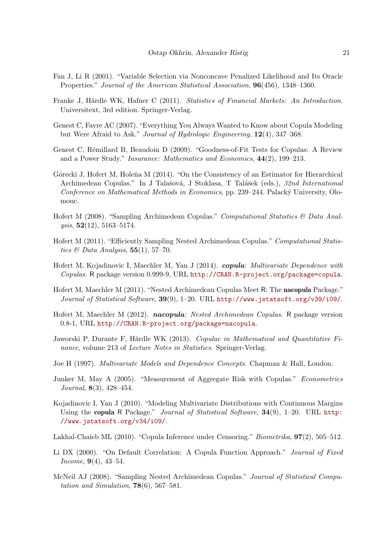- <span id="page-20-14"></span>Fan J, Li R (2001). "Variable Selection via Nonconcave Penalized Likelihood and Its Oracle Properties." Journal of the American Statistical Association, 96(456), 1348–1360.
- <span id="page-20-13"></span>Franke J, Härdle WK, Hafner C (2011). Statistics of Financial Markets: An Introduction. Universitext, 3rd edition. Springer-Verlag.
- <span id="page-20-1"></span>Genest C, Favre AC (2007). "Everything You Always Wanted to Know about Copula Modeling but Were Afraid to Ask." Journal of Hydrologic Engineering, 12(4), 347–368.
- <span id="page-20-16"></span>Genest C, Rémillard B, Beaudoin D (2009). "Goodness-of-Fit Tests for Copulas: A Review and a Power Study." Insurance: Mathematics and Economics, 44(2), 199–213.
- <span id="page-20-11"></span>Górecki J, Hofert M, Holeňa M (2014). "On the Consistency of an Estimator for Hierarchical Archimedean Copulas." In J Talašová, J Stoklasa, T Talášek (eds.), 32nd International Conference on Mathematical Methods in Economics, pp. 239–244. Palacký University, Olomouc.
- <span id="page-20-15"></span>Hofert M (2008). "Sampling Archimedean Copulas." Computational Statistics & Data Analysis, 52(12), 5163–5174.
- <span id="page-20-9"></span>Hofert M (2011). "Efficiently Sampling Nested Archimedean Copulas." Computational Statistics  $\mathcal C$  Data Analysis, 55(1), 57-70.
- <span id="page-20-8"></span>Hofert M, Kojadinovic I, Maechler M, Yan J (2014). *copula: Multivariate Dependence with* Copulas. R package version 0.999-9, URL <http://CRAN.R-project.org/package=copula>.
- <span id="page-20-7"></span>Hofert M, Maechler M (2011). "Nested Archimedean Copulas Meet R: The nacopula Package." Journal of Statistical Software, 39(9), 1–20. URL <http://www.jstatsoft.org/v39/i09/>.
- <span id="page-20-10"></span>Hofert M, Maechler M (2012). nacopula: Nested Archimedean Copulas. R package version 0.8-1, URL <http://CRAN.R-project.org/package=nacopula>.
- <span id="page-20-5"></span>Jaworski P, Durante F, Härdle WK (2013). Copulae in Mathematical and Quantitative Finance, volume 213 of *Lecture Notes in Statistics*. Springer-Verlag.
- <span id="page-20-4"></span>Joe H (1997). Multivariate Models and Dependence Concepts. Chapman & Hall, London.
- <span id="page-20-2"></span>Junker M, May A (2005). "Measurement of Aggregate Risk with Copulas." Econometrics Journal, 8(3), 428–454.
- <span id="page-20-6"></span>Kojadinovic I, Yan J (2010). "Modeling Multivariate Distributions with Continuous Margins Using the copula R Package." Journal of Statistical Software, 34(9), 1-20. URL [http:](http://www.jstatsoft.org/v34/i09/) [//www.jstatsoft.org/v34/i09/](http://www.jstatsoft.org/v34/i09/).

<span id="page-20-0"></span>Lakhal-Chaieb ML (2010). "Copula Inference under Censoring." Biometrika, 97(2), 505–512.

- <span id="page-20-3"></span>Li DX (2000). "On Default Correlation: A Copula Function Approach." Journal of Fixed Income, 9(4), 43–54.
- <span id="page-20-12"></span>McNeil AJ (2008). "Sampling Nested Archimedean Copulas." Journal of Statistical Computation and Simulation,  $78(6)$ , 567-581.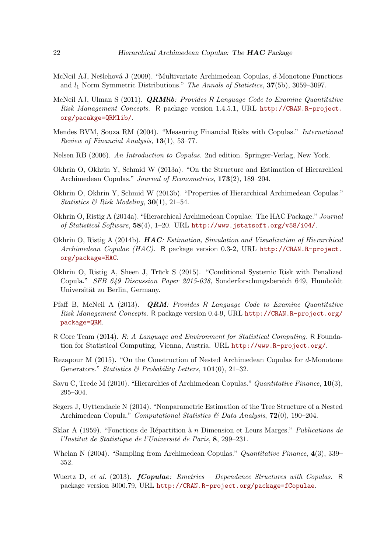- <span id="page-21-13"></span>McNeil AJ, Nešlehová J (2009). "Multivariate Archimedean Copulas, d-Monotone Functions and  $l_1$  Norm Symmetric Distributions." The Annals of Statistics,  $37(5b)$ ,  $3059-3097$ .
- <span id="page-21-8"></span>McNeil AJ, Ulman S (2011). *ORMlib: Provides R Language Code to Examine Quantitative* Risk Management Concepts. R package version 1.4.5.1, URL [http://CRAN.R-project.](http://CRAN.R-project.org/pacakge=QRMlib/) [org/pacakge=QRMlib/](http://CRAN.R-project.org/pacakge=QRMlib/).
- <span id="page-21-0"></span>Mendes BVM, Souza RM (2004). "Measuring Financial Risks with Copulas." International Review of Financial Analysis, 13(1), 53–77.
- <span id="page-21-2"></span>Nelsen RB (2006). An Introduction to Copulas. 2nd edition. Springer-Verlag, New York.
- <span id="page-21-11"></span>Okhrin O, Okhrin Y, Schmid W (2013a). "On the Structure and Estimation of Hierarchical Archimedean Copulas." Journal of Econometrics, 173(2), 189–204.
- <span id="page-21-7"></span>Okhrin O, Okhrin Y, Schmid W (2013b). "Properties of Hierarchical Archimedean Copulas." Statistics & Risk Modeling,  $30(1)$ ,  $21-54$ .
- <span id="page-21-12"></span>Okhrin O, Ristig A (2014a). "Hierarchical Archimedean Copulae: The HAC Package." Journal of Statistical Software, 58(4), 1–20. URL <http://www.jstatsoft.org/v58/i04/>.
- <span id="page-21-10"></span>Okhrin O, Ristig A (2014b).  $HAC$ : Estimation, Simulation and Visualization of Hierarchical Archimedean Copulae (HAC). R package version 0.3-2, URL [http://CRAN.R-project.](http://CRAN.R-project.org/package=HAC) [org/package=HAC](http://CRAN.R-project.org/package=HAC).
- <span id="page-21-15"></span>Okhrin O, Ristig A, Sheen J, Truck S (2015). "Conditional Systemic Risk with Penalized ¨ Copula." SFB 649 Discussion Paper 2015-038, Sonderforschungsbereich 649, Humboldt Universität zu Berlin, Germany.
- <span id="page-21-9"></span>Pfaff B, McNeil A (2013). **QRM:** Provides R Language Code to Examine Quantitative Risk Management Concepts. R package version 0.4-9, URL [http://CRAN.R-project.org/](http://CRAN.R-project.org/package=QRM) [package=QRM](http://CRAN.R-project.org/package=QRM).
- <span id="page-21-3"></span>R Core Team (2014). R: A Language and Environment for Statistical Computing. R Foundation for Statistical Computing, Vienna, Austria. URL <http://www.R-project.org/>.
- <span id="page-21-14"></span>Rezapour M (2015). "On the Construction of Nested Archimedean Copulas for d-Monotone Generators." Statistics & Probability Letters,  $101(0)$ , 21–32.
- <span id="page-21-6"></span>Savu C, Trede M (2010). "Hierarchies of Archimedean Copulas." Quantitative Finance, 10(3), 295–304.
- <span id="page-21-16"></span>Segers J, Uyttendaele N (2014). "Nonparametric Estimation of the Tree Structure of a Nested Archimedean Copula." Computational Statistics & Data Analysis, 72(0), 190–204.
- <span id="page-21-1"></span>Sklar A (1959). "Fonctions de Répartition à  $n$  Dimension et Leurs Marges." *Publications de* l'Institut de Statistique de l'Université de Paris, 8, 299–231.
- <span id="page-21-5"></span>Whelan N (2004). "Sampling from Archimedean Copulas." Quantitative Finance, 4(3), 339– 352.
- <span id="page-21-4"></span>Wuertz D, et al. (2013).  $fCopulae:$  Rmetrics – Dependence Structures with Copulas. R package version 3000.79, URL <http://CRAN.R-project.org/package=fCopulae>.